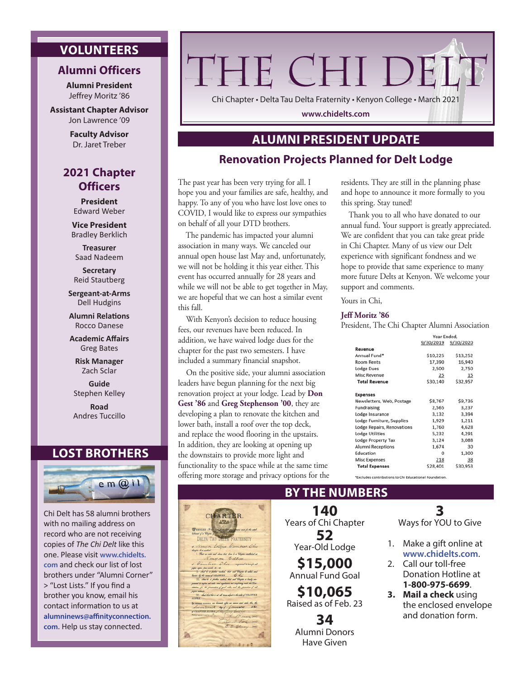# **VOLUNTEERS**

### **Alumni Officers**

**Alumni President** Jeffrey Moritz '86

**Assistant Chapter Advisor** Jon Lawrence '09

> **Faculty Advisor** Dr. Jaret Treber

# **2021 Chapter Officers**

**President**  Edward Weber

**Vice President** Bradley Berklich

**Treasurer** Saad Nadeem

**Secretary** Reid Stautberg

**Sergeant-at-Arms** Dell Hudgins

**Alumni Relations** Rocco Danese

**Academic Affairs** Greg Bates

**Risk Manager** Zach Sclar

**Guide** Stephen Kelley

**Road** Andres Tuccillo

### **LOST BROTHERS**



Chi Delt has 58 alumni brothers with no mailing address on record who are not receiving copies of *The Chi Delt* like this one. Please visit **www.chidelts. com** and check our list of lost brothers under "Alumni Corner" > "Lost Lists." If you find a brother you know, email his contact information to us at **alumninews@affinityconnection. com**. Help us stay connected.

# THE CHI DEL'

Chi Chapter • Delta Tau Delta Fraternity • Kenyon College • March 2021

**www.chidelts.com**

# **ALUMNI PRESIDENT UPDATE**

### **Renovation Projects Planned for Delt Lodge**

The past year has been very trying for all. I hope you and your families are safe, healthy, and happy. To any of you who have lost love ones to COVID, I would like to express our sympathies on behalf of all your DTD brothers.

The pandemic has impacted your alumni association in many ways. We canceled our annual open house last May and, unfortunately, we will not be holding it this year either. This event has occurred annually for 28 years and while we will not be able to get together in May, we are hopeful that we can host a similar event this fall.

With Kenyon's decision to reduce housing fees, our revenues have been reduced. In addition, we have waived lodge dues for the chapter for the past two semesters. I have included a summary financial snapshot.

On the positive side, your alumni association leaders have begun planning for the next big renovation project at your lodge. Lead by **Don Gest '86** and **Greg Stephenson '00**, they are developing a plan to renovate the kitchen and lower bath, install a roof over the top deck, and replace the wood flooring in the upstairs. In addition, they are looking at opening up the downstairs to provide more light and functionality to the space while at the same time offering more storage and privacy options for the

| CHARTER.<br><b>EATA #1</b>                                                                                                                                                                                                              |  |
|-----------------------------------------------------------------------------------------------------------------------------------------------------------------------------------------------------------------------------------------|--|
| WHENEXS, It has been shot and some one for the said.<br>hilment of a Chapter of the                                                                                                                                                     |  |
| <b>DELTA TAU DELTA FRATERNITY</b><br>a Kenym Collona Gambior Ohio<br>theyber le it analysis.                                                                                                                                            |  |
| 1. That we adv and done that they be a Uniper scheduled at<br>Rongon College<br>a Vambier Ohio mpound a compa all                                                                                                                       |  |
| gaphi, sajani, plano mondi, alt., alt.<br>11. And to a pather control, that and Uniper to collect, and<br>have by the name of CHAPTER Le the<br>111. Sand he is forther undered, that and Chapter is heady can-                         |  |
| provide to explain all sides and segulations not conflicting with the Con-<br>atatica, for the presention of good side, and the promotion of all<br>paying stations<br>[V]. And that this is at all towns nelpat to the sake of CHAPTER |  |
| <b>ALPHA</b><br>You were an annual and all the same of the same and and the the<br>Seventualt by of Lanuary<br>1881                                                                                                                     |  |
| of CHAPTER ALPHA, A Cho hour College<br>meadville Pa.<br>A. It any will<br>Ches. It. First my                                                                                                                                           |  |
| E. E. Charleson Jan                                                                                                                                                                                                                     |  |
|                                                                                                                                                                                                                                         |  |

residents. They are still in the planning phase and hope to announce it more formally to you this spring. Stay tuned!

Thank you to all who have donated to our annual fund. Your support is greatly appreciated. We are confident that you can take great pride in Chi Chapter. Many of us view our Delt experience with significant fondness and we hope to provide that same experience to many more future Delts at Kenyon. We welcome your support and comments.

Yours in Chi,

### **Jeff Moritz '86**

President, The Chi Chapter Alumni Association

|                                   | Year Ended. |           |
|-----------------------------------|-------------|-----------|
|                                   | 9/30/2019   | 9/30/2020 |
| Revenue                           |             |           |
| Annual Fund*                      | \$10,225    | \$13,252  |
| <b>Room Rents</b>                 | 17,390      | 16,940    |
| <b>Lodge Dues</b>                 | 2,500       | 2,750     |
| Misc Revenue                      | 25          | 15        |
| <b>Total Revenue</b>              | \$30,140    | \$32,957  |
|                                   |             |           |
| <b>Expenses</b>                   |             |           |
| Newsletters, Web, Postage         | \$8,767     | \$9,736   |
| Fundraising                       | 2,565       | 3,237     |
| Lodge Insurance                   | 3,132       | 3,394     |
| Lodge Furniture, Supplies         | 1,929       | 1,211     |
| <b>Lodge Repairs, Renovations</b> | 1,760       | 4,628     |
| <b>Lodge Utilities</b>            | 5,232       | 4.291     |
| <b>Lodge Property Tax</b>         | 3,124       | 3,088     |
| Alumni Receptions                 | 1,674       | 30        |
| Education                         | 0           | 1,300     |
| <b>Misc Expenses</b>              | 218         | 38        |
| <b>Total Expenses</b>             | \$28,401    | \$30,953  |

\*Excludes contributions to Chi Educational Foundation

## **BY THE NUMBERS**

**140** Years of Chi Chapter **52** Year-Old Lodge **\$15,000** Annual Fund Goal **\$10,065** Raised as of Feb. 23 **34** Alumni Donors Have Given

**3**

Ways for YOU to Give

- 1. Make a gift online at **www.chidelts.com**.
- 2. Call our toll-free Donation Hotline at **1-800-975-6699**.
- **3. Mail a check** using the enclosed envelope and donation form.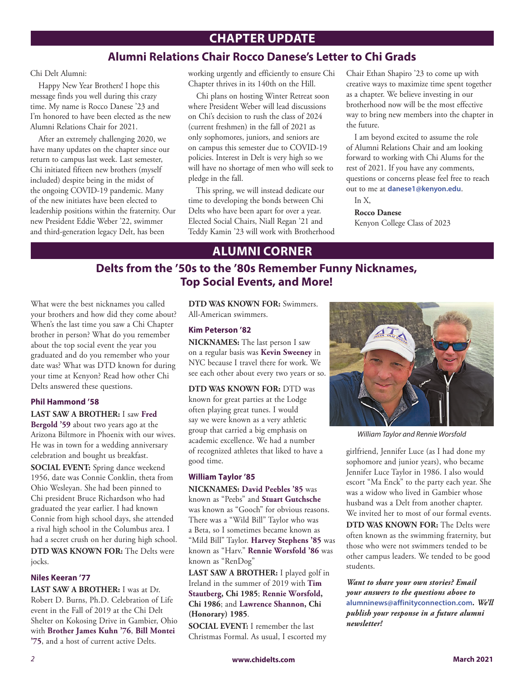# **CHAPTER UPDATE**

# **Alumni Relations Chair Rocco Danese's Letter to Chi Grads**

Chi Delt Alumni:

Happy New Year Brothers! I hope this message finds you well during this crazy time. My name is Rocco Danese '23 and I'm honored to have been elected as the new Alumni Relations Chair for 2021.

After an extremely challenging 2020, we have many updates on the chapter since our return to campus last week. Last semester, Chi initiated fifteen new brothers (myself included) despite being in the midst of the ongoing COVID-19 pandemic. Many of the new initiates have been elected to leadership positions within the fraternity. Our new President Eddie Weber '22, swimmer and third-generation legacy Delt, has been

working urgently and efficiently to ensure Chi Chapter thrives in its 140th on the Hill.

Chi plans on hosting Winter Retreat soon where President Weber will lead discussions on Chi's decision to rush the class of 2024 (current freshmen) in the fall of 2021 as only sophomores, juniors, and seniors are on campus this semester due to COVID-19 policies. Interest in Delt is very high so we will have no shortage of men who will seek to pledge in the fall.

This spring, we will instead dedicate our time to developing the bonds between Chi Delts who have been apart for over a year. Elected Social Chairs, Niall Regan '21 and Teddy Kamin '23 will work with Brotherhood Chair Ethan Shapiro '23 to come up with creative ways to maximize time spent together as a chapter. We believe investing in our brotherhood now will be the most effective way to bring new members into the chapter in the future.

I am beyond excited to assume the role of Alumni Relations Chair and am looking forward to working with Chi Alums for the rest of 2021. If you have any comments, questions or concerns please feel free to reach out to me at **danese1@kenyon.edu**.

In X,

**Rocco Danese**  Kenyon College Class of 2023

# **ALUMNI CORNER**

# **Delts from the '50s to the '80s Remember Funny Nicknames, Top Social Events, and More!**

What were the best nicknames you called your brothers and how did they come about? When's the last time you saw a Chi Chapter brother in person? What do you remember about the top social event the year you graduated and do you remember who your date was? What was DTD known for during your time at Kenyon? Read how other Chi Delts answered these questions.

### **Phil Hammond '58**

### **LAST SAW A BROTHER:** I saw **Fred**

**Bergold '59** about two years ago at the Arizona Biltmore in Phoenix with our wives. He was in town for a wedding anniversary celebration and bought us breakfast.

**SOCIAL EVENT:** Spring dance weekend 1956, date was Connie Conklin, theta from Ohio Wesleyan. She had been pinned to Chi president Bruce Richardson who had graduated the year earlier. I had known Connie from high school days, she attended a rival high school in the Columbus area. I had a secret crush on her during high school. **DTD WAS KNOWN FOR:** The Delts were jocks.

### **Niles Keeran '77**

**LAST SAW A BROTHER:** I was at Dr. Robert D. Burns, Ph.D. Celebration of Life event in the Fall of 2019 at the Chi Delt Shelter on Kokosing Drive in Gambier, Ohio with **Brother James Kuhn '76**, **Bill Montei '75**, and a host of current active Delts.

**DTD WAS KNOWN FOR:** Swimmers. All-American swimmers.

### **Kim Peterson '82**

**NICKNAMES:** The last person I saw on a regular basis was **Kevin Sweeney** in NYC because I travel there for work. We see each other about every two years or so.

**DTD WAS KNOWN FOR:** DTD was

known for great parties at the Lodge often playing great tunes. I would say we were known as a very athletic group that carried a big emphasis on academic excellence. We had a number of recognized athletes that liked to have a good time.

### **William Taylor '85**

**NICKNAMES: David Peebles '85** was known as "Peebs" and **Stuart Gutchsche** was known as "Gooch" for obvious reasons. There was a "Wild Bill" Taylor who was a Beta, so I sometimes became known as "Mild Bill" Taylor. **Harvey Stephens '85** was known as "Harv." **Rennie Worsfold '86** was known as "RenDog"

**LAST SAW A BROTHER:** I played golf in Ireland in the summer of 2019 with **Tim Stautberg, Chi 1985**; **Rennie Worsfold, Chi 1986**; and **Lawrence Shannon, Chi (Honorary) 1985**.

**SOCIAL EVENT:** I remember the last Christmas Formal. As usual, I escorted my



*William Taylor and Rennie Worsfold*

girlfriend, Jennifer Luce (as I had done my sophomore and junior years), who became Jennifer Luce Taylor in 1986. I also would escort "Ma Enck" to the party each year. She was a widow who lived in Gambier whose husband was a Delt from another chapter. We invited her to most of our formal events.

**DTD WAS KNOWN FOR:** The Delts were often known as the swimming fraternity, but those who were not swimmers tended to be other campus leaders. We tended to be good students.

*Want to share your own stories? Email your answers to the questions above to*  **alumninews@affinityconnection.com***. We'll publish your response in a future alumni newsletter!*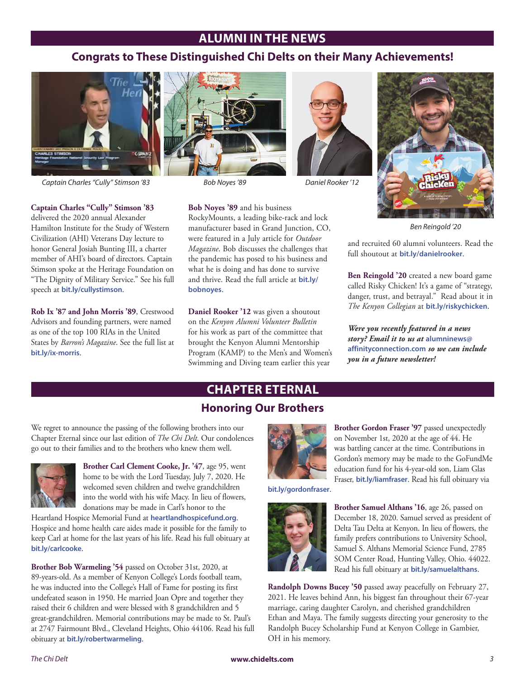# **ALUMNI IN THE NEWS**

# **Congrats to These Distinguished Chi Delts on their Many Achievements!**



*Captain Charles "Cully" Stimson '83 Bob Noyes '89 Daniel Rooker '12*

**Captain Charles "Cully" Stimson '83**

delivered the 2020 annual Alexander Hamilton Institute for the Study of Western Civilization (AHI) Veterans Day lecture to honor General Josiah Bunting III, a charter member of AHI's board of directors. Captain Stimson spoke at the Heritage Foundation on "The Dignity of Military Service." See his full speech at **bit.ly/cullystimson**.

**Rob Ix '87 and John Morris '89**, Crestwood Advisors and founding partners, were named as one of the top 100 RIAs in the United States by *Barron's Magazine*. See the full list at **bit.ly/ix-morris**.



**bobnoyes**.

**Bob Noyes '89** and his business

RockyMounts, a leading bike-rack and lock manufacturer based in Grand Junction, CO, were featured in a July article for *Outdoor Magazine*. Bob discusses the challenges that the pandemic has posed to his business and what he is doing and has done to survive and thrive. Read the full article at **bit.ly/**

**Daniel Rooker '12** was given a shoutout on the *Kenyon Alumni Volunteer Bulletin* for his work as part of the committee that brought the Kenyon Alumni Mentorship Program (KAMP) to the Men's and Women's Swimming and Diving team earlier this year





*Ben Reingold '20*

and recruited 60 alumni volunteers. Read the full shoutout at **bit.ly/danielrooker**.

**Ben Reingold '20** created a new board game called Risky Chicken! It's a game of "strategy, danger, trust, and betrayal." Read about it in *The Kenyon Collegian* at **bit.ly/riskychicken**.

*Were you recently featured in a news story? Email it to us at* **alumninews@ affinityconnection.com** *so we can include you in a future newsletter!*

# **CHAPTER ETERNAL**

# **Honoring Our Brothers**

We regret to announce the passing of the following brothers into our Chapter Eternal since our last edition of *The Chi Delt*. Our condolences go out to their families and to the brothers who knew them well.



**Brother Carl Clement Cooke, Jr. '47**, age 95, went home to be with the Lord Tuesday, July 7, 2020. He welcomed seven children and twelve grandchildren into the world with his wife Macy. In lieu of flowers, donations may be made in Carl's honor to the

Heartland Hospice Memorial Fund at **heartlandhospicefund.org**. Hospice and home health care aides made it possible for the family to keep Carl at home for the last years of his life. Read his full obituary at **bit.ly/carlcooke**.

**Brother Bob Warmeling '54** passed on October 31st, 2020, at 89-years-old. As a member of Kenyon College's Lords football team, he was inducted into the College's Hall of Fame for posting its first undefeated season in 1950. He married Joan Opre and together they raised their 6 children and were blessed with 8 grandchildren and 5 great-grandchildren. Memorial contributions may be made to St. Paul's at 2747 Fairmount Blvd., Cleveland Heights, Ohio 44106. Read his full obituary at **bit.ly/robertwarmeling**.



**Brother Gordon Fraser '97** passed unexpectedly on November 1st, 2020 at the age of 44. He was battling cancer at the time. Contributions in Gordon's memory may be made to the GoFundMe education fund for his 4-year-old son, Liam Glas Fraser, **bit.ly/liamfraser**. Read his full obituary via

**bit.ly/gordonfraser**.



**Brother Samuel Althans '16**, age 26, passed on December 18, 2020. Samuel served as president of Delta Tau Delta at Kenyon. In lieu of flowers, the family prefers contributions to University School, Samuel S. Althans Memorial Science Fund, 2785 SOM Center Road, Hunting Valley, Ohio. 44022. Read his full obituary at **bit.ly/samuelalthans**.

**Randolph Downs Bucey '50** passed away peacefully on February 27, 2021. He leaves behind Ann, his biggest fan throughout their 67-year marriage, caring daughter Carolyn, and cherished grandchildren Ethan and Maya. The family suggests directing your generosity to the Randolph Bucey Scholarship Fund at Kenyon College in Gambier, OH in his memory.